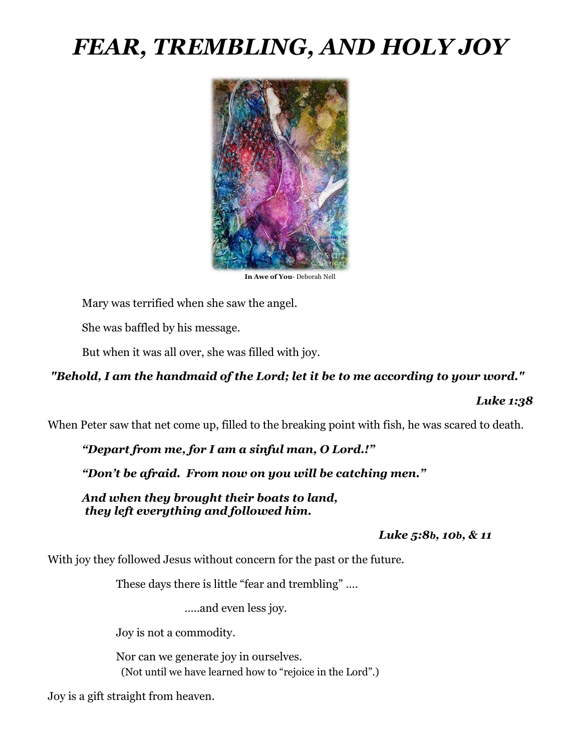# *FEAR, TREMBLING, AND HOLY JOY*



**In Awe of You**- Deborah Nell

Mary was terrified when she saw the angel.

She was baffled by his message.

But when it was all over, she was filled with joy.

### *"Behold, I am the handmaid of the Lord; let it be to me according to your word."*

#### *Luke 1:38*

When Peter saw that net come up, filled to the breaking point with fish, he was scared to death.

*"Depart from me, for I am a sinful man, O Lord.!"*

*"Don't be afraid. From now on you will be catching men."*

*And when they brought their boats to land, they left everything and followed him.*

 *Luke 5:8b, 10b, & 11*

With joy they followed Jesus without concern for the past or the future.

These days there is little "fear and trembling" ….

…..and even less joy.

Joy is not a commodity.

Nor can we generate joy in ourselves. (Not until we have learned how to "rejoice in the Lord".)

Joy is a gift straight from heaven.